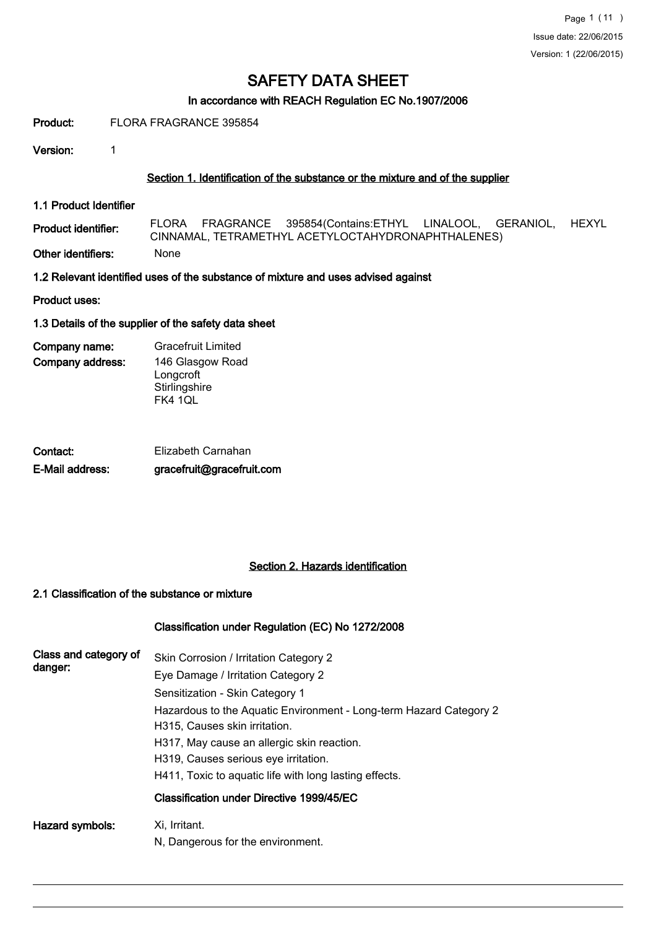# In accordance with REACH Regulation EC No.1907/2006

#### Product: FLORA FRAGRANCE 395854

Version: 1

### Section 1. Identification of the substance or the mixture and of the supplier

1.1 Product Identifier

Product identifier: FLORA FRAGRANCE 395854(Contains:ETHYL LINALOOL, GERANIOL, HEXYL CINNAMAL, TETRAMETHYL ACETYLOCTAHYDRONAPHTHALENES)

Other identifiers: None

1.2 Relevant identified uses of the substance of mixture and uses advised against

Product uses:

### 1.3 Details of the supplier of the safety data sheet

Company address: Company name: Gracefruit Limited 146 Glasgow Road Longcroft **Stirlingshire** FK4 1QL

| Contact:        | Elizabeth Carnahan        |
|-----------------|---------------------------|
| E-Mail address: | gracefruit@gracefruit.com |

# Section 2. Hazards identification

### 2.1 Classification of the substance or mixture

# Classification under Regulation (EC) No 1272/2008

| Class and category of<br>danger: | Skin Corrosion / Irritation Category 2<br>Eye Damage / Irritation Category 2<br>Sensitization - Skin Category 1<br>Hazardous to the Aquatic Environment - Long-term Hazard Category 2<br>H315, Causes skin irritation. |
|----------------------------------|------------------------------------------------------------------------------------------------------------------------------------------------------------------------------------------------------------------------|
|                                  | H317, May cause an allergic skin reaction.<br>H319, Causes serious eye irritation.                                                                                                                                     |
|                                  | H411, Toxic to aguatic life with long lasting effects.                                                                                                                                                                 |
|                                  | Classification under Directive 1999/45/EC                                                                                                                                                                              |
| Hazard symbols:                  | Xi, Irritant.<br>N, Dangerous for the environment.                                                                                                                                                                     |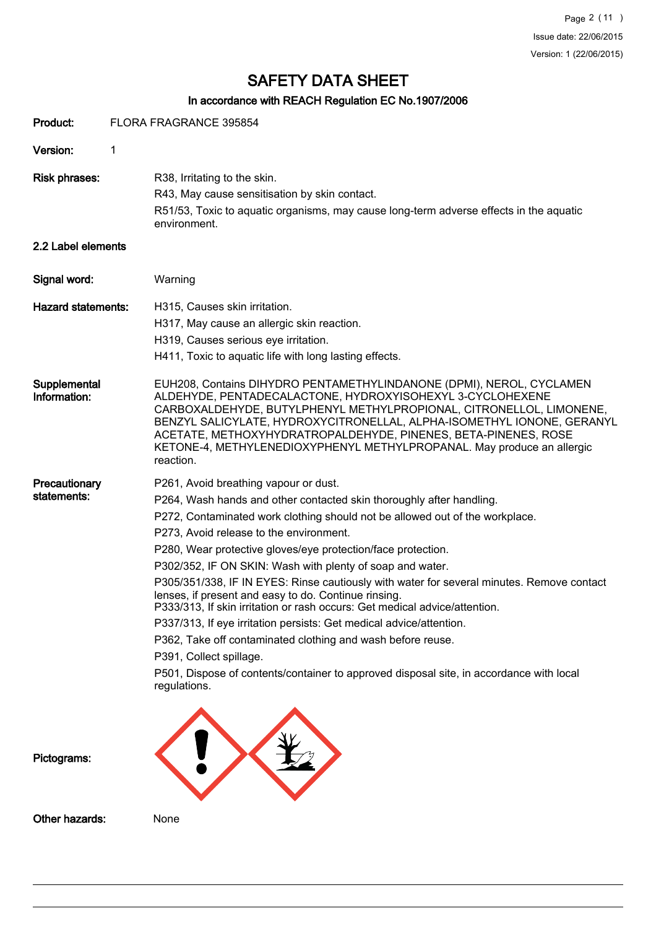# In accordance with REACH Regulation EC No.1907/2006

| Product:                     |   | FLORA FRAGRANCE 395854                                                                                                                                                                                                                                                                                                                                                                                                                                                                                                                                                                                                                                                                                                                                                                                                                                                               |
|------------------------------|---|--------------------------------------------------------------------------------------------------------------------------------------------------------------------------------------------------------------------------------------------------------------------------------------------------------------------------------------------------------------------------------------------------------------------------------------------------------------------------------------------------------------------------------------------------------------------------------------------------------------------------------------------------------------------------------------------------------------------------------------------------------------------------------------------------------------------------------------------------------------------------------------|
| Version:                     | 1 |                                                                                                                                                                                                                                                                                                                                                                                                                                                                                                                                                                                                                                                                                                                                                                                                                                                                                      |
| <b>Risk phrases:</b>         |   | R38, Irritating to the skin.<br>R43, May cause sensitisation by skin contact.<br>R51/53, Toxic to aquatic organisms, may cause long-term adverse effects in the aquatic<br>environment.                                                                                                                                                                                                                                                                                                                                                                                                                                                                                                                                                                                                                                                                                              |
| 2.2 Label elements           |   |                                                                                                                                                                                                                                                                                                                                                                                                                                                                                                                                                                                                                                                                                                                                                                                                                                                                                      |
| Signal word:                 |   | Warning                                                                                                                                                                                                                                                                                                                                                                                                                                                                                                                                                                                                                                                                                                                                                                                                                                                                              |
| <b>Hazard statements:</b>    |   | H315, Causes skin irritation.<br>H317, May cause an allergic skin reaction.<br>H319, Causes serious eye irritation.<br>H411, Toxic to aquatic life with long lasting effects.                                                                                                                                                                                                                                                                                                                                                                                                                                                                                                                                                                                                                                                                                                        |
| Supplemental<br>Information: |   | EUH208, Contains DIHYDRO PENTAMETHYLINDANONE (DPMI), NEROL, CYCLAMEN<br>ALDEHYDE, PENTADECALACTONE, HYDROXYISOHEXYL 3-CYCLOHEXENE<br>CARBOXALDEHYDE, BUTYLPHENYL METHYLPROPIONAL, CITRONELLOL, LIMONENE,<br>BENZYL SALICYLATE, HYDROXYCITRONELLAL, ALPHA-ISOMETHYL IONONE, GERANYL<br>ACETATE, METHOXYHYDRATROPALDEHYDE, PINENES, BETA-PINENES, ROSE<br>KETONE-4, METHYLENEDIOXYPHENYL METHYLPROPANAL. May produce an allergic<br>reaction.                                                                                                                                                                                                                                                                                                                                                                                                                                          |
| Precautionary<br>statements: |   | P261, Avoid breathing vapour or dust.<br>P264, Wash hands and other contacted skin thoroughly after handling.<br>P272, Contaminated work clothing should not be allowed out of the workplace.<br>P273, Avoid release to the environment.<br>P280, Wear protective gloves/eye protection/face protection.<br>P302/352, IF ON SKIN: Wash with plenty of soap and water.<br>P305/351/338, IF IN EYES: Rinse cautiously with water for several minutes. Remove contact<br>lenses, if present and easy to do. Continue rinsing.<br>P333/313, If skin irritation or rash occurs: Get medical advice/attention.<br>P337/313, If eye irritation persists: Get medical advice/attention.<br>P362, Take off contaminated clothing and wash before reuse.<br>P391, Collect spillage.<br>P501, Dispose of contents/container to approved disposal site, in accordance with local<br>regulations. |
| Pictograms:                  |   |                                                                                                                                                                                                                                                                                                                                                                                                                                                                                                                                                                                                                                                                                                                                                                                                                                                                                      |
| Other hazards:               |   | None                                                                                                                                                                                                                                                                                                                                                                                                                                                                                                                                                                                                                                                                                                                                                                                                                                                                                 |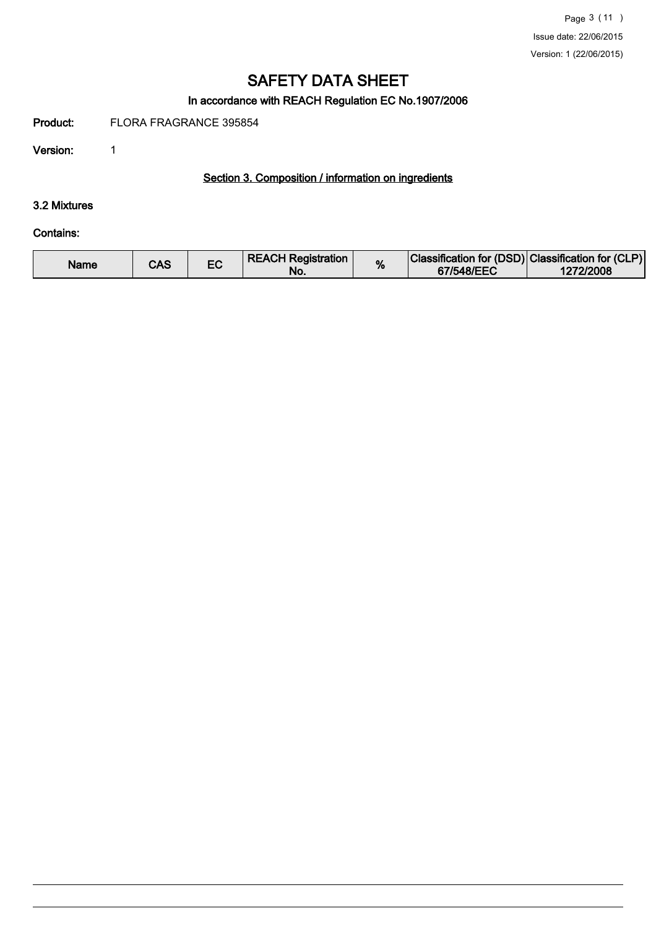# In accordance with REACH Regulation EC No.1907/2006

Product: FLORA FRAGRANCE 395854

Version: 1

# Section 3. Composition / information on ingredients

## 3.2 Mixtures

#### Contains:

| <b>REACH Registration</b><br>Name<br>CAS<br>No. | % | Classification for (DSD) Classification for (CLP)<br>67/548/EEC | 1272/2008 |
|-------------------------------------------------|---|-----------------------------------------------------------------|-----------|
|-------------------------------------------------|---|-----------------------------------------------------------------|-----------|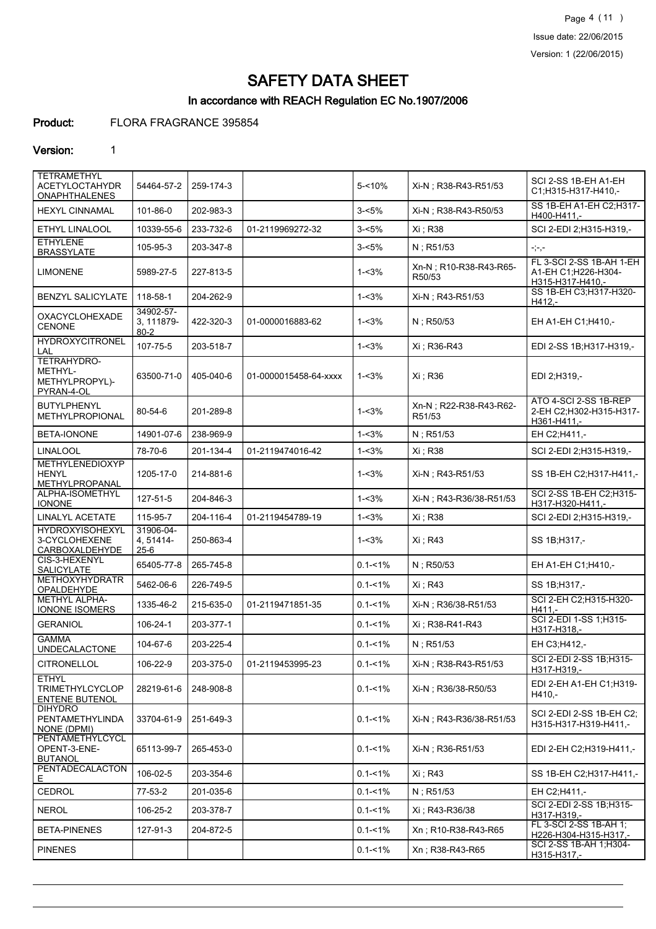Page 4 (11 ) Issue date: 22/06/2015 Version: 1 (22/06/2015)

# SAFETY DATA SHEET

# In accordance with REACH Regulation EC No.1907/2006

# Product: FLORA FRAGRANCE 395854

#### Version: 1

| <b>TETRAMETHYL</b><br><b>ACETYLOCTAHYDR</b><br><b>ONAPHTHALENES</b> | 54464-57-2                          | 259-174-3 |                       | $5 - 10%$   | Xi-N; R38-R43-R51/53             | SCI 2-SS 1B-EH A1-EH<br>C1;H315-H317-H410,-                          |
|---------------------------------------------------------------------|-------------------------------------|-----------|-----------------------|-------------|----------------------------------|----------------------------------------------------------------------|
| <b>HEXYL CINNAMAL</b>                                               | 101-86-0                            | 202-983-3 |                       | $3 - 5%$    | Xi-N ; R38-R43-R50/53            | SS 1B-EH A1-EH C2:H317-<br>H400-H411,-                               |
| ETHYL LINALOOL                                                      | 10339-55-6                          | 233-732-6 | 01-2119969272-32      | $3 - 5%$    | Xi : R38                         | SCI 2-EDI 2;H315-H319,-                                              |
| <b>ETHYLENE</b><br><b>BRASSYLATE</b>                                | 105-95-3                            | 203-347-8 |                       | $3 - 5%$    | N; R51/53                        | ring                                                                 |
| <b>LIMONENE</b>                                                     | 5989-27-5                           | 227-813-5 |                       | $1 - 3%$    | Xn-N; R10-R38-R43-R65-<br>R50/53 | FL 3-SCI 2-SS 1B-AH 1-EH<br>A1-EH C1:H226-H304-<br>H315-H317-H410 .- |
| <b>BENZYL SALICYLATE</b>                                            | 118-58-1                            | 204-262-9 |                       | $1 - 3%$    | Xi-N; R43-R51/53                 | SS 1B-EH C3; H317-H320-<br>H412,-                                    |
| OXACYCLOHEXADE<br><b>CENONE</b>                                     | 34902-57-<br>3, 111879-<br>$80 - 2$ | 422-320-3 | 01-0000016883-62      | $1 - 3%$    | N; R50/53                        | EH A1-EH C1; H410,-                                                  |
| <b>HYDROXYCITRONEL</b><br>LAL                                       | 107-75-5                            | 203-518-7 |                       | $1 - 3%$    | Xi : R36-R43                     | EDI 2-SS 1B;H317-H319,-                                              |
| TETRAHYDRO-<br>METHYL-<br>METHYLPROPYL)-<br>PYRAN-4-OL              | 63500-71-0                          | 405-040-6 | 01-0000015458-64-xxxx | $1 - 3%$    | Xi ; R36                         | EDI 2;H319,-                                                         |
| <b>BUTYLPHENYL</b><br><b>METHYLPROPIONAL</b>                        | 80-54-6                             | 201-289-8 |                       | $1 - 3%$    | Xn-N; R22-R38-R43-R62-<br>R51/53 | ATO 4-SCI 2-SS 1B-REP<br>2-EH C2:H302-H315-H317-<br>$H361-H411,-$    |
| BETA-IONONE                                                         | 14901-07-6                          | 238-969-9 |                       | $1 - 3%$    | $N:$ R51/53                      | EH C2;H411,-                                                         |
| <b>LINALOOL</b>                                                     | 78-70-6                             | 201-134-4 | 01-2119474016-42      | $1 - 3%$    | Xi : R38                         | SCI 2-EDI 2:H315-H319,-                                              |
| <b>METHYLENEDIOXYP</b><br><b>HENYL</b><br>METHYLPROPANAL            | 1205-17-0                           | 214-881-6 |                       | $1 - 3%$    | Xi-N; R43-R51/53                 | SS 1B-EH C2; H317-H411,-                                             |
| ALPHA-ISOMETHYL<br><b>IONONE</b>                                    | 127-51-5                            | 204-846-3 |                       | $1 - 3%$    | Xi-N; R43-R36/38-R51/53          | SCI 2-SS 1B-EH C2:H315-<br>H317-H320-H411,-                          |
| <b>LINALYL ACETATE</b>                                              | 115-95-7                            | 204-116-4 | 01-2119454789-19      | $1 - 3%$    | Xi ; R38                         | SCI 2-EDI 2:H315-H319,-                                              |
| <b>HYDROXYISOHEXYL</b><br>3-CYCLOHEXENE<br>CARBOXALDEHYDE           | 31906-04-<br>4, 51414-<br>25-6      | 250-863-4 |                       | $1 - 3%$    | Xi ; R43                         | SS 1B; H317,-                                                        |
| CIS-3-HEXENYL<br>SALICYLATE                                         | 65405-77-8                          | 265-745-8 |                       | $0.1 - 1\%$ | N; R50/53                        | EH A1-EH C1; H410,-                                                  |
| <b>METHOXYHYDRATR</b><br>OPALDEHYDE                                 | 5462-06-6                           | 226-749-5 |                       | $0.1 - 1\%$ | Xi : R43                         | SS 1B; H317,-                                                        |
| <b>METHYL ALPHA-</b><br><b>IONONE ISOMERS</b>                       | 1335-46-2                           | 215-635-0 | 01-2119471851-35      | $0.1 - 1\%$ | Xi-N; R36/38-R51/53              | SCI 2-EH C2;H315-H320-<br>$H411. -$                                  |
| <b>GERANIOL</b>                                                     | 106-24-1                            | 203-377-1 |                       | $0.1 - 1\%$ | Xi ; R38-R41-R43                 | SCI 2-EDI 1-SS 1;H315-<br>H317-H318,-                                |
| <b>GAMMA</b><br>UNDECALACTONE                                       | 104-67-6                            | 203-225-4 |                       | $0.1 - 1\%$ | N; R51/53                        | EH C3;H412,-                                                         |
| CITRONELLOL                                                         | 106-22-9                            | 203-375-0 | 01-2119453995-23      | $0.1 - 1\%$ | Xi-N; R38-R43-R51/53             | SCI 2-EDI 2-SS 1B;H315-<br>H317-H319,-                               |
| <b>ETHYL</b><br><b>TRIMETHYLCYCLOP</b><br>ENTENE BUTENOL            | 28219-61-6                          | 248-908-8 |                       | $0.1 - 1\%$ | Xi-N; R36/38-R50/53              | EDI 2-EH A1-EH C1;H319-<br>H410,-                                    |
| <b>DIHYDRO</b><br>PENTAMETHYLINDA<br>NONE (DPMI)                    | 33704-61-9                          | 251-649-3 |                       | $0.1 - 1\%$ | Xi-N ; R43-R36/38-R51/53         | SCI 2-EDI 2-SS 1B-EH C2;<br>H315-H317-H319-H411,-                    |
| PENTAMETHYLCYCL<br>OPENT-3-ENE-<br><b>BUTANOL</b>                   | 65113-99-7                          | 265-453-0 |                       | $0.1 - 1\%$ | Xi-N; R36-R51/53                 | EDI 2-EH C2;H319-H411,-                                              |
| PENTADECALACTON<br>Е.                                               | 106-02-5                            | 203-354-6 |                       | $0.1 - 1\%$ | Xi ; R43                         | SS 1B-EH C2;H317-H411,-                                              |
| CEDROL                                                              | 77-53-2                             | 201-035-6 |                       | $0.1 - 1\%$ | N; R51/53                        | EH C2;H411,-                                                         |
| <b>NEROL</b>                                                        | 106-25-2                            | 203-378-7 |                       | $0.1 - 1\%$ | Xi ; R43-R36/38                  | SCI 2-EDI 2-SS 1B;H315-<br>H317-H319,-                               |
| <b>BETA-PINENES</b>                                                 | 127-91-3                            | 204-872-5 |                       | $0.1 - 1\%$ | Xn; R10-R38-R43-R65              | FL 3-SCI 2-SS 1B-AH 1;<br>H226-H304-H315-H317,-                      |
| <b>PINENES</b>                                                      |                                     |           |                       | $0.1 - 1\%$ | Xn; R38-R43-R65                  | SCI 2-SS 1B-AH 1;H304-<br>H315-H317,-                                |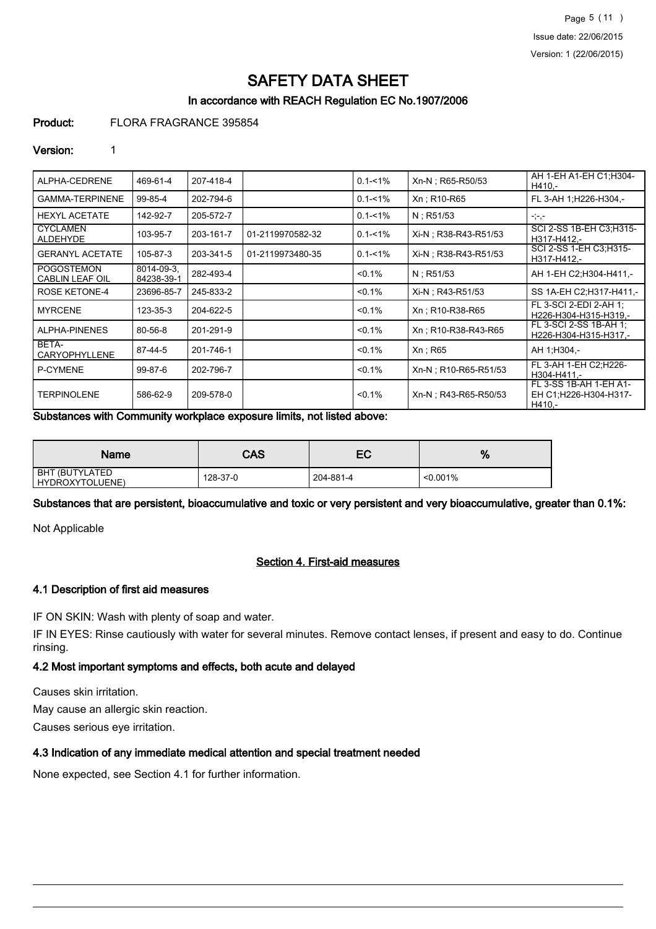Page 5 (11 ) Issue date: 22/06/2015 Version: 1 (22/06/2015)

# SAFETY DATA SHEET

# In accordance with REACH Regulation EC No.1907/2006

#### Product: FLORA FRAGRANCE 395854

#### Version: 1

| ALPHA-CEDRENE                               | 469-61-4                 | 207-418-4 |                  | $0.1 - 1\%$ | Xn-N; R65-R50/53      | AH 1-EH A1-EH C1;H304-<br>H410,-                          |
|---------------------------------------------|--------------------------|-----------|------------------|-------------|-----------------------|-----------------------------------------------------------|
| <b>GAMMA-TERPINENE</b>                      | 99-85-4                  | 202-794-6 |                  | $0.1 - 1\%$ | Xn: R10-R65           | FL 3-AH 1;H226-H304,-                                     |
| <b>HEXYL ACETATE</b>                        | 142-92-7                 | 205-572-7 |                  | $0.1 - 1\%$ | $N:$ R51/53           | $-,-,-$                                                   |
| <b>CYCLAMEN</b><br>ALDEHYDE                 | 103-95-7                 | 203-161-7 | 01-2119970582-32 | $0.1 - 1\%$ | Xi-N : R38-R43-R51/53 | SCI 2-SS 1B-EH C3:H315-<br>H317-H412.-                    |
| <b>GERANYL ACETATE</b>                      | 105-87-3                 | 203-341-5 | 01-2119973480-35 | $0.1 - 1\%$ | Xi-N; R38-R43-R51/53  | SCI 2-SS 1-EH C3;H315-<br>H317-H412.-                     |
| <b>POGOSTEMON</b><br><b>CABLIN LEAF OIL</b> | 8014-09-3.<br>84238-39-1 | 282-493-4 |                  | $< 0.1\%$   | $N:$ R51/53           | AH 1-EH C2; H304-H411,-                                   |
| <b>ROSE KETONE-4</b>                        | 23696-85-7               | 245-833-2 |                  | $< 0.1\%$   | Xi-N : R43-R51/53     | SS 1A-EH C2: H317-H411,-                                  |
| <b>MYRCENE</b>                              | 123-35-3                 | 204-622-5 |                  | $< 0.1\%$   | Xn: R10-R38-R65       | FL 3-SCI 2-EDI 2-AH 1:<br>H226-H304-H315-H319.-           |
| ALPHA-PINENES                               | 80-56-8                  | 201-291-9 |                  | $< 0.1\%$   | Xn: R10-R38-R43-R65   | FL 3-SCI 2-SS 1B-AH 1;<br>H226-H304-H315-H317,-           |
| BETA-<br>CARYOPHYLLENE                      | 87-44-5                  | 201-746-1 |                  | $< 0.1\%$   | $Xn$ ; R65            | AH 1:H304,-                                               |
| P-CYMENE                                    | 99-87-6                  | 202-796-7 |                  | $< 0.1\%$   | Xn-N : R10-R65-R51/53 | FL 3-AH 1-EH C2:H226-<br>H304-H411.-                      |
| <b>TERPINOLENE</b>                          | 586-62-9                 | 209-578-0 |                  | $< 0.1\%$   | Xn-N : R43-R65-R50/53 | FL 3-SS 1B-AH 1-EH A1-<br>EH C1:H226-H304-H317-<br>H410.- |

Substances with Community workplace exposure limits, not listed above:

| Name                              | CAS      | EC        | %           |
|-----------------------------------|----------|-----------|-------------|
| BHT (BUTYLATED<br>HYDROXYTOLUENE) | 128-37-0 | 204-881-4 | $< 0.001\%$ |

Substances that are persistent, bioaccumulative and toxic or very persistent and very bioaccumulative, greater than 0.1%:

Not Applicable

# Section 4. First-aid measures

### 4.1 Description of first aid measures

IF ON SKIN: Wash with plenty of soap and water.

IF IN EYES: Rinse cautiously with water for several minutes. Remove contact lenses, if present and easy to do. Continue rinsing.

#### 4.2 Most important symptoms and effects, both acute and delayed

Causes skin irritation.

May cause an allergic skin reaction.

Causes serious eye irritation.

#### 4.3 Indication of any immediate medical attention and special treatment needed

None expected, see Section 4.1 for further information.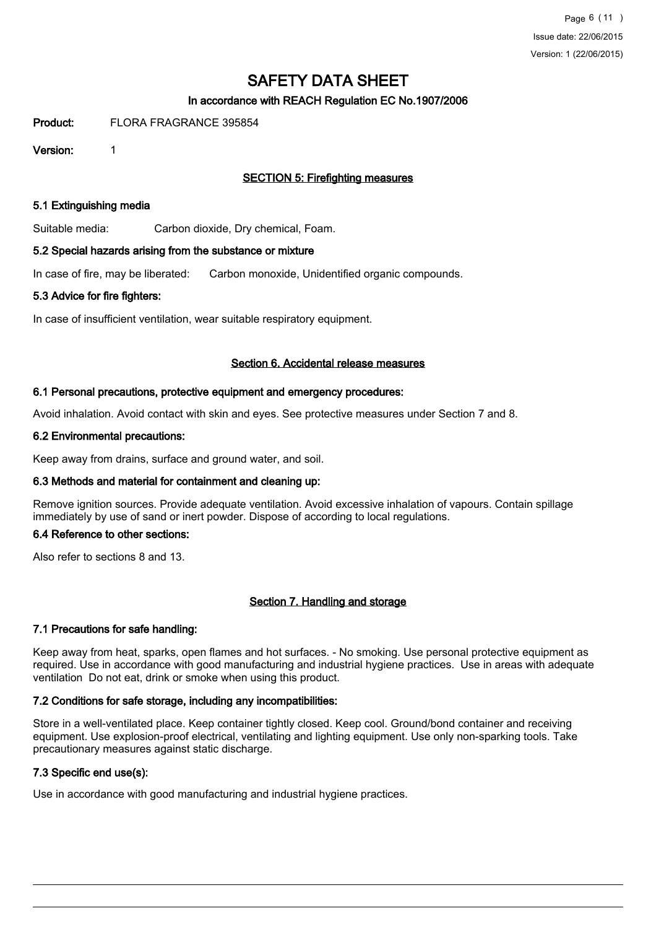# In accordance with REACH Regulation EC No.1907/2006

Product: FLORA FRAGRANCE 395854

Version: 1

# SECTION 5: Firefighting measures

#### 5.1 Extinguishing media

Suitable media: Carbon dioxide, Dry chemical, Foam.

#### 5.2 Special hazards arising from the substance or mixture

In case of fire, may be liberated: Carbon monoxide, Unidentified organic compounds.

#### 5.3 Advice for fire fighters:

In case of insufficient ventilation, wear suitable respiratory equipment.

#### Section 6. Accidental release measures

#### 6.1 Personal precautions, protective equipment and emergency procedures:

Avoid inhalation. Avoid contact with skin and eyes. See protective measures under Section 7 and 8.

#### 6.2 Environmental precautions:

Keep away from drains, surface and ground water, and soil.

#### 6.3 Methods and material for containment and cleaning up:

Remove ignition sources. Provide adequate ventilation. Avoid excessive inhalation of vapours. Contain spillage immediately by use of sand or inert powder. Dispose of according to local regulations.

#### 6.4 Reference to other sections:

Also refer to sections 8 and 13.

#### Section 7. Handling and storage

#### 7.1 Precautions for safe handling:

Keep away from heat, sparks, open flames and hot surfaces. - No smoking. Use personal protective equipment as required. Use in accordance with good manufacturing and industrial hygiene practices. Use in areas with adequate ventilation Do not eat, drink or smoke when using this product.

#### 7.2 Conditions for safe storage, including any incompatibilities:

Store in a well-ventilated place. Keep container tightly closed. Keep cool. Ground/bond container and receiving equipment. Use explosion-proof electrical, ventilating and lighting equipment. Use only non-sparking tools. Take precautionary measures against static discharge.

#### 7.3 Specific end use(s):

Use in accordance with good manufacturing and industrial hygiene practices.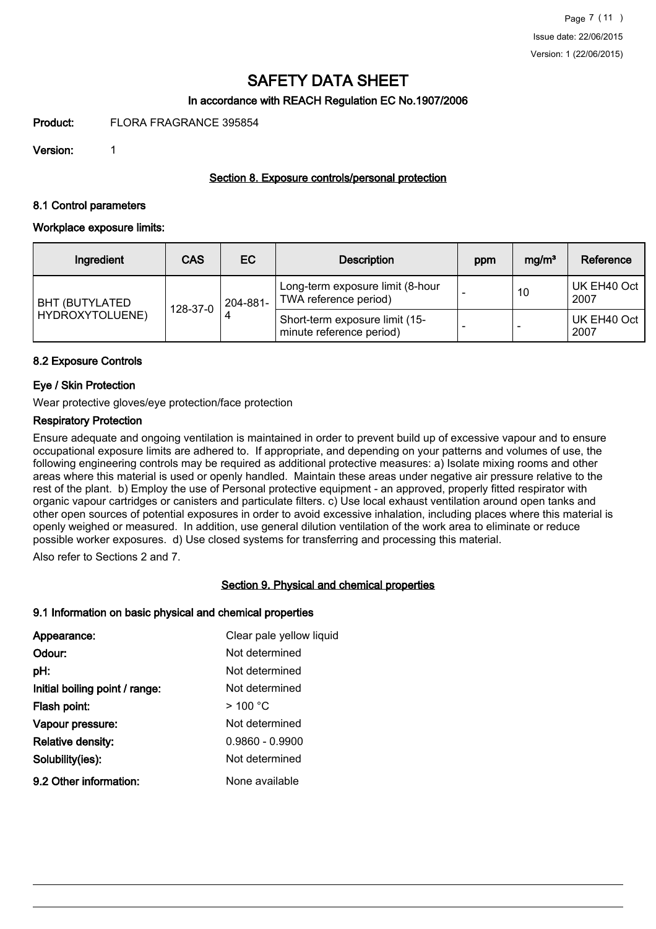# In accordance with REACH Regulation EC No.1907/2006

Product: FLORA FRAGRANCE 395854

Version: 1

## Section 8. Exposure controls/personal protection

#### 8.1 Control parameters

#### Workplace exposure limits:

| Ingredient                               | <b>CAS</b> | EC       | <b>Description</b>                                         | ppm | mg/m <sup>3</sup> | Reference           |
|------------------------------------------|------------|----------|------------------------------------------------------------|-----|-------------------|---------------------|
| <b>BHT (BUTYLATED</b><br>HYDROXYTOLUENE) | 128-37-0   | 204-881- | Long-term exposure limit (8-hour<br>TWA reference period)  |     | 10                | UK EH40 Oct<br>2007 |
|                                          |            |          | Short-term exposure limit (15-<br>minute reference period) |     |                   | UK EH40 Oct<br>2007 |

### 8.2 Exposure Controls

# Eye / Skin Protection

Wear protective gloves/eye protection/face protection

#### Respiratory Protection

Ensure adequate and ongoing ventilation is maintained in order to prevent build up of excessive vapour and to ensure occupational exposure limits are adhered to. If appropriate, and depending on your patterns and volumes of use, the following engineering controls may be required as additional protective measures: a) Isolate mixing rooms and other areas where this material is used or openly handled. Maintain these areas under negative air pressure relative to the rest of the plant. b) Employ the use of Personal protective equipment - an approved, properly fitted respirator with organic vapour cartridges or canisters and particulate filters. c) Use local exhaust ventilation around open tanks and other open sources of potential exposures in order to avoid excessive inhalation, including places where this material is openly weighed or measured. In addition, use general dilution ventilation of the work area to eliminate or reduce possible worker exposures. d) Use closed systems for transferring and processing this material.

Also refer to Sections 2 and 7.

#### Section 9. Physical and chemical properties

#### 9.1 Information on basic physical and chemical properties

| Appearance:                    | Clear pale yellow liquid |
|--------------------------------|--------------------------|
| Odour:                         | Not determined           |
| pH:                            | Not determined           |
| Initial boiling point / range: | Not determined           |
| Flash point:                   | $>$ 100 °C               |
| Vapour pressure:               | Not determined           |
| Relative density:              | $0.9860 - 0.9900$        |
| Solubility(ies):               | Not determined           |
| 9.2 Other information:         | None available           |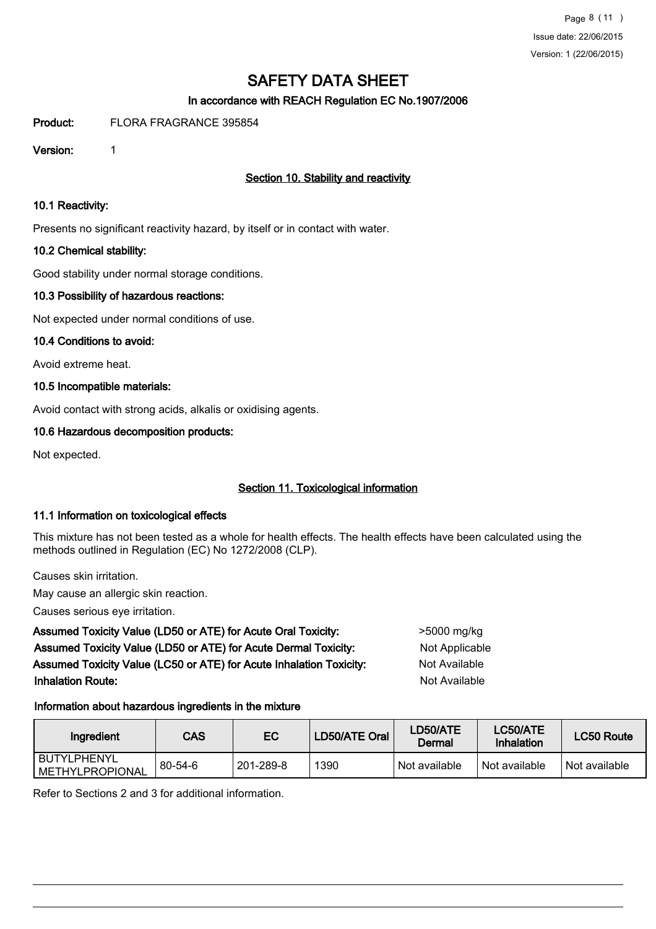# In accordance with REACH Regulation EC No.1907/2006

Product: FLORA FRAGRANCE 395854

Version: 1

# Section 10. Stability and reactivity

#### 10.1 Reactivity:

Presents no significant reactivity hazard, by itself or in contact with water.

### 10.2 Chemical stability:

Good stability under normal storage conditions.

### 10.3 Possibility of hazardous reactions:

Not expected under normal conditions of use.

### 10.4 Conditions to avoid:

Avoid extreme heat.

### 10.5 Incompatible materials:

Avoid contact with strong acids, alkalis or oxidising agents.

### 10.6 Hazardous decomposition products:

Not expected.

# Section 11. Toxicological information

# 11.1 Information on toxicological effects

This mixture has not been tested as a whole for health effects. The health effects have been calculated using the methods outlined in Regulation (EC) No 1272/2008 (CLP).

Causes skin irritation.

May cause an allergic skin reaction.

Causes serious eye irritation.

Assumed Toxicity Value (LD50 or ATE) for Acute Oral Toxicity: <br>
>5000 mg/kg Assumed Toxicity Value (LD50 or ATE) for Acute Dermal Toxicity: Not Applicable Assumed Toxicity Value (LC50 or ATE) for Acute Inhalation Toxicity: Not Available **Inhalation Route:** Not Available in the United States of Available in the United States of Available in the United States of Available in the United States of Available in the United States of Available in the United Stat

# Information about hazardous ingredients in the mixture

| Ingredient                       | CAS           | EС        | ∟D50/ATE Oral ˈ | LD50/ATE<br>Dermal | LC50/ATE<br>Inhalation | LC50 Route    |
|----------------------------------|---------------|-----------|-----------------|--------------------|------------------------|---------------|
| l BUTYLPHENYL<br>METHYLPROPIONAL | $80 - 54 - 6$ | 201-289-8 | 1390            | Not available      | Not available          | Not available |

Refer to Sections 2 and 3 for additional information.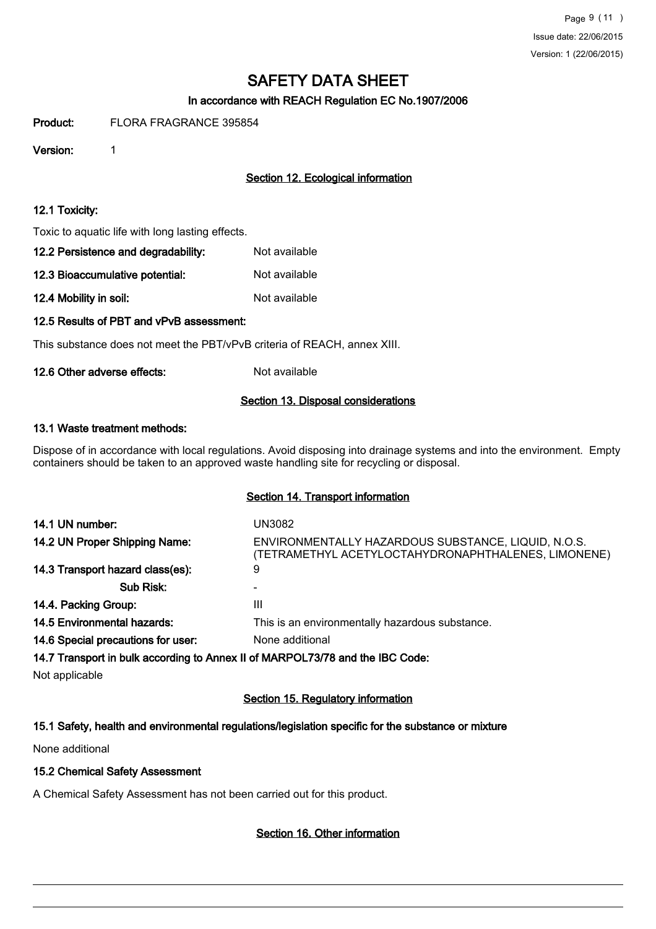# In accordance with REACH Regulation EC No.1907/2006

Product: FLORA FRAGRANCE 395854

Version: 1

# Section 12. Ecological information

#### 12.1 Toxicity:

Toxic to aquatic life with long lasting effects.

| 12.2 Persistence and degradability: | Not available |
|-------------------------------------|---------------|
| 12.3 Bioaccumulative potential:     | Not available |

12.4 Mobility in soil: Not available

# 12.5 Results of PBT and vPvB assessment:

This substance does not meet the PBT/vPvB criteria of REACH, annex XIII.

### 12.6 Other adverse effects: Not available

### Section 13. Disposal considerations

# 13.1 Waste treatment methods:

Dispose of in accordance with local regulations. Avoid disposing into drainage systems and into the environment. Empty containers should be taken to an approved waste handling site for recycling or disposal.

#### Section 14. Transport information

| 14.1 UN number:                    | UN3082                                                                                                     |
|------------------------------------|------------------------------------------------------------------------------------------------------------|
| 14.2 UN Proper Shipping Name:      | ENVIRONMENTALLY HAZARDOUS SUBSTANCE, LIQUID, N.O.S.<br>(TETRAMETHYL ACETYLOCTAHYDRONAPHTHALENES, LIMONENE) |
| 14.3 Transport hazard class(es):   | 9                                                                                                          |
| Sub Risk:                          |                                                                                                            |
| 14.4. Packing Group:               | Ш                                                                                                          |
| <b>14.5 Environmental hazards:</b> | This is an environmentally hazardous substance.                                                            |
| 14.6 Special precautions for user: | None additional                                                                                            |
|                                    | 14.7 Transport in bulk according to Annex II of MARPOL73/78 and the IBC Code:                              |

Not applicable

# Section 15. Regulatory information

# 15.1 Safety, health and environmental regulations/legislation specific for the substance or mixture

None additional

#### 15.2 Chemical Safety Assessment

A Chemical Safety Assessment has not been carried out for this product.

# Section 16. Other information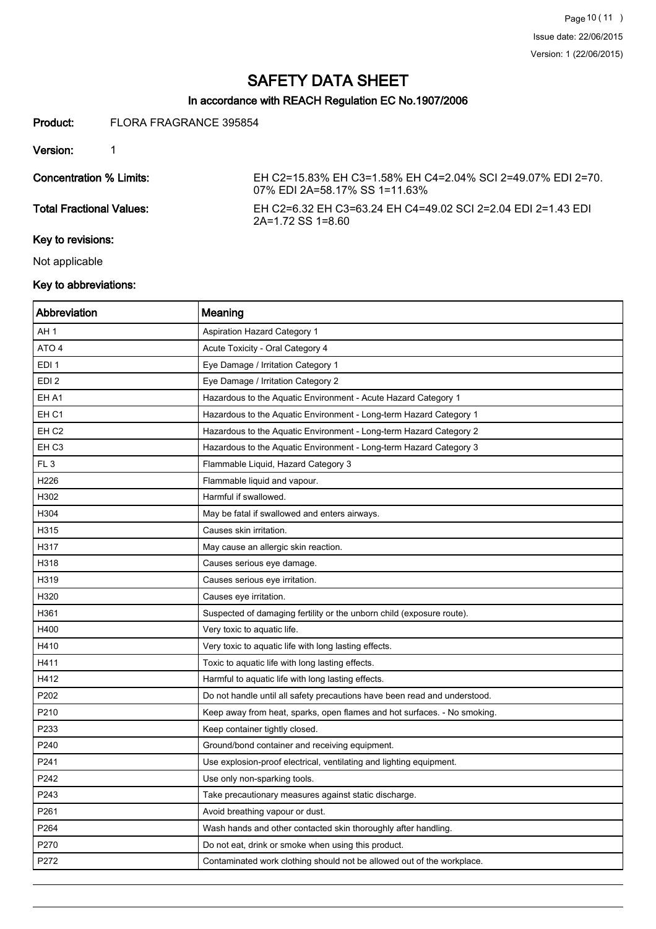# In accordance with REACH Regulation EC No.1907/2006

#### Product: FLORA FRAGRANCE 395854

Version: 1

| Concentration % Limits:         | EH C2=15.83% EH C3=1.58% EH C4=2.04% SCI 2=49.07% EDI 2=70.<br>07% EDI 2A=58.17% SS 1=11.63% |
|---------------------------------|----------------------------------------------------------------------------------------------|
| <b>Total Fractional Values:</b> | FH C2=6.32 FH C3=63.24 FH C4=49.02 SCI 2=2.04 FDI 2=1.43 FDI<br>$2A=1.72$ SS 1=8.60          |

# Key to revisions:

Not applicable

# Key to abbreviations:

| Abbreviation     | Meaning                                                                   |
|------------------|---------------------------------------------------------------------------|
| AH 1             | <b>Aspiration Hazard Category 1</b>                                       |
| ATO 4            | Acute Toxicity - Oral Category 4                                          |
| EDI <sub>1</sub> | Eye Damage / Irritation Category 1                                        |
| EDI <sub>2</sub> | Eye Damage / Irritation Category 2                                        |
| EH A1            | Hazardous to the Aquatic Environment - Acute Hazard Category 1            |
| EH <sub>C1</sub> | Hazardous to the Aquatic Environment - Long-term Hazard Category 1        |
| EH <sub>C2</sub> | Hazardous to the Aquatic Environment - Long-term Hazard Category 2        |
| EH <sub>C3</sub> | Hazardous to the Aquatic Environment - Long-term Hazard Category 3        |
| FL <sub>3</sub>  | Flammable Liquid, Hazard Category 3                                       |
| H226             | Flammable liquid and vapour.                                              |
| H302             | Harmful if swallowed.                                                     |
| H304             | May be fatal if swallowed and enters airways.                             |
| H315             | Causes skin irritation.                                                   |
| H317             | May cause an allergic skin reaction.                                      |
| H318             | Causes serious eye damage.                                                |
| H319             | Causes serious eye irritation.                                            |
| H320             | Causes eye irritation.                                                    |
| H361             | Suspected of damaging fertility or the unborn child (exposure route).     |
| H400             | Very toxic to aquatic life.                                               |
| H410             | Very toxic to aquatic life with long lasting effects.                     |
| H411             | Toxic to aquatic life with long lasting effects.                          |
| H412             | Harmful to aquatic life with long lasting effects.                        |
| P202             | Do not handle until all safety precautions have been read and understood. |
| P210             | Keep away from heat, sparks, open flames and hot surfaces. - No smoking.  |
| P233             | Keep container tightly closed.                                            |
| P240             | Ground/bond container and receiving equipment.                            |
| P241             | Use explosion-proof electrical, ventilating and lighting equipment.       |
| P242             | Use only non-sparking tools.                                              |
| P243             | Take precautionary measures against static discharge.                     |
| P261             | Avoid breathing vapour or dust.                                           |
| P264             | Wash hands and other contacted skin thoroughly after handling.            |
| P270             | Do not eat, drink or smoke when using this product.                       |
| P272             | Contaminated work clothing should not be allowed out of the workplace.    |